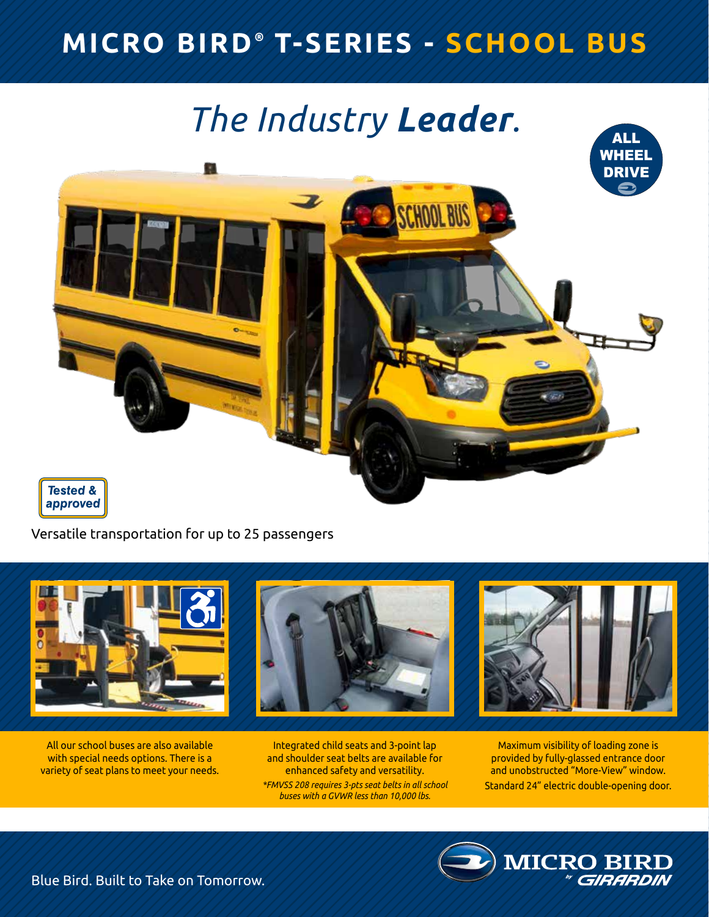### **MICRO BIRD ® T-SERIES - SCHOOL BUS**

# *The Industry Leader.*



Versatile transportation for up to 25 passengers



All our school buses are also available with special needs options. There is a variety of seat plans to meet your needs.

Integrated child seats and 3-point lap and shoulder seat belts are available for enhanced safety and versatility. *\*FMVSS 208 requires 3-pts seat belts in all school buses with a GVWR less than 10,000 lbs.*

Maximum visibility of loading zone is provided by fully-glassed entrance door and unobstructed "More-View" window. Standard 24" electric double-opening door.

**MICRO BI** 

Blue Bird. Built to Take on Tomorrow.